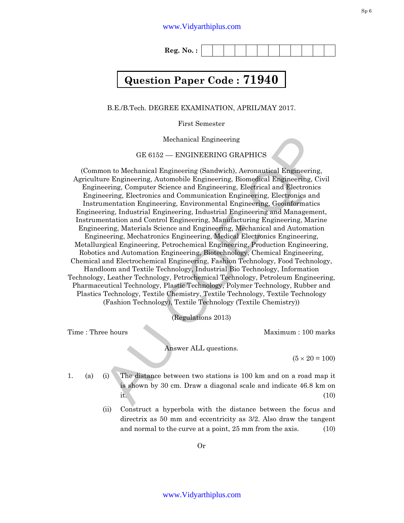**Reg. No. :** 

## **Question Paper Code : 71940**

B.E./B.Tech. DEGREE EXAMINATION, APRIL/MAY 2017.

First Semester

Mechanical Engineering

GE 6152 –– ENGINEERING GRAPHICS

 $\label{thm:20} \vspace{-1em} \begin{minipage}[t]{0.9\textwidth}\label{thm:20} \end{minipage} \begin{minipage}[t]{0.9\textwidth}\label{thm:20} \begin{minipage}[t]{0.9\textwidth}\label{thm:20} \begin{minipage}[t]{0.9\textwidth}\label{thm:20} \end{minipage} \begin{minipage}[t]{0.9\textwidth}\label{thm:20} \begin{minipage}[t]{0.9\textwidth}\label{thm:20} \end{minipage} \begin{minipage}[t]{0.9\textwidth}\label{thm:20} \begin{minipage}[t]{0.9\textwidth$ (Common to Mechanical Engineering (Sandwich), Aeronautical Engineering, Agriculture Engineering, Automobile Engineering, Biomedical Engineering, Civil Engineering, Computer Science and Engineering, Electrical and Electronics Engineering, Electronics and Communication Engineering, Electronics and Instrumentation Engineering, Environmental Engineering, Geoinformatics Engineering, Industrial Engineering, Industrial Engineering and Management, Instrumentation and Control Engineering, Manufacturing Engineering, Marine Engineering, Materials Science and Engineering, Mechanical and Automation Engineering, Mechatronics Engineering, Medical Electronics Engineering, Metallurgical Engineering, Petrochemical Engineering, Production Engineering, Robotics and Automation Engineering, Biotechnology, Chemical Engineering, Chemical and Electrochemical Engineering, Fashion Technology, Food Technology, Handloom and Textile Technology, Industrial Bio Technology, Information Technology, Leather Technology, Petrochemical Technology, Petroleum Engineering, Pharmaceutical Technology, Plastic Technology, Polymer Technology, Rubber and Plastics Technology, Textile Chemistry, Textile Technology, Textile Technology (Fashion Technology), Textile Technology (Textile Chemistry))

(Regulations 2013)

Time : Three hours and the matter of the Maximum : 100 marks

Answer ALL questions.

 $(5 \times 20 = 100)$ 

1. (a) (i) The distance between two stations is 100 km and on a road map it is shown by 30 cm. Draw a diagonal scale and indicate 46.8 km on it.  $(10)$ 

> (ii) Construct a hyperbola with the distance between the focus and directrix as 50 mm and eccentricity as 3/2. Also draw the tangent and normal to the curve at a point, 25 mm from the axis. (10)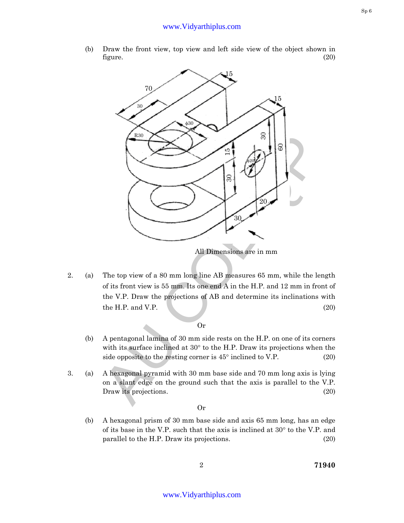(b) Draw the front view, top view and left side view of the object shown in figure.  $(20)$ 



2. (a) The top view of a 80 mm long line AB measures 65 mm, while the length of its front view is 55 mm. Its one end A in the H.P. and 12 mm in front of the V.P. Draw the projections of AB and determine its inclinations with  $\mu$  the H.P. and V.P. (20)

Or

- (b) A pentagonal lamina of 30 mm side rests on the H.P. on one of its corners with its surface inclined at 30° to the H.P. Draw its projections when the side opposite to the resting corner is  $45^{\circ}$  inclined to V.P. (20)
- 3. (a) A hexagonal pyramid with 30 mm base side and 70 mm long axis is lying on a slant edge on the ground such that the axis is parallel to the V.P. Draw its projections. (20)

Or

(b) A hexagonal prism of 30 mm base side and axis 65 mm long, has an edge of its base in the V.P. such that the axis is inclined at 30° to the V.P. and parallel to the H.P. Draw its projections. (20)